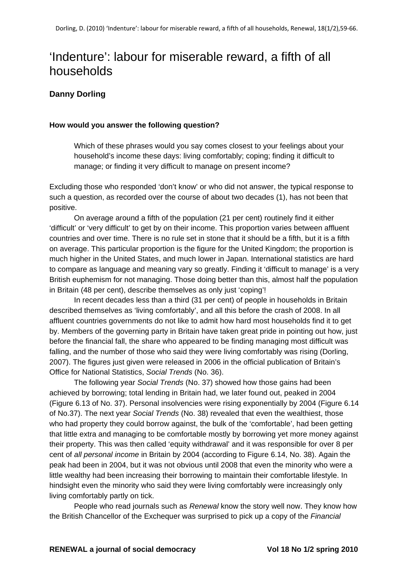# 'Indenture': labour for miserable reward, a fifth of all households

# **Danny Dorling**

#### **How would you answer the following question?**

Which of these phrases would you say comes closest to your feelings about your household's income these days: living comfortably; coping; finding it difficult to manage; or finding it very difficult to manage on present income?

Excluding those who responded 'don't know' or who did not answer, the typical response to such a question, as recorded over the course of about two decades (1), has not been that positive.

On average around a fifth of the population (21 per cent) routinely find it either 'difficult' or 'very difficult' to get by on their income. This proportion varies between affluent countries and over time. There is no rule set in stone that it should be a fifth, but it is a fifth on average. This particular proportion is the figure for the United Kingdom; the proportion is much higher in the United States, and much lower in Japan. International statistics are hard to compare as language and meaning vary so greatly. Finding it 'difficult to manage' is a very British euphemism for not managing. Those doing better than this, almost half the population in Britain (48 per cent), describe themselves as only just 'coping'!

In recent decades less than a third (31 per cent) of people in households in Britain described themselves as 'living comfortably', and all this before the crash of 2008. In all affluent countries governments do not like to admit how hard most households find it to get by. Members of the governing party in Britain have taken great pride in pointing out how, just before the financial fall, the share who appeared to be finding managing most difficult was falling, and the number of those who said they were living comfortably was rising (Dorling, 2007). The figures just given were released in 2006 in the official publication of Britain's Office for National Statistics, *Social Trends* (No. 36).

The following year *Social Trends* (No. 37) showed how those gains had been achieved by borrowing; total lending in Britain had, we later found out, peaked in 2004 (Figure 6.13 of No. 37). Personal insolvencies were rising exponentially by 2004 (Figure 6.14 of No.37). The next year *Social Trends* (No. 38) revealed that even the wealthiest, those who had property they could borrow against, the bulk of the 'comfortable', had been getting that little extra and managing to be comfortable mostly by borrowing yet more money against their property. This was then called 'equity withdrawal' and it was responsible for over 8 per cent of *all personal income* in Britain by 2004 (according to Figure 6.14, No. 38). Again the peak had been in 2004, but it was not obvious until 2008 that even the minority who were a little wealthy had been increasing their borrowing to maintain their comfortable lifestyle. In hindsight even the minority who said they were living comfortably were increasingly only living comfortably partly on tick.

People who read journals such as *Renewal* know the story well now. They know how the British Chancellor of the Exchequer was surprised to pick up a copy of the *Financial*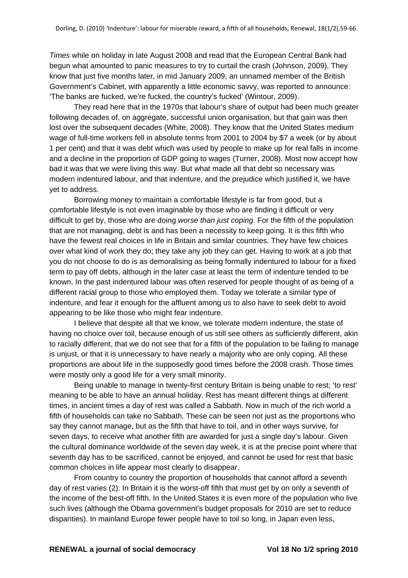*Times* while on holiday in late August 2008 and read that the European Central Bank had begun what amounted to panic measures to try to curtail the crash (Johnson, 2009). They know that just five months later, in mid January 2009, an unnamed member of the British Government's Cabinet, with apparently a little economic savvy, was reported to announce: 'The banks are fucked, we're fucked, the country's fucked' (Wintour, 2009).

They read here that in the 1970s that labour's share of output had been much greater following decades of, on aggregate, successful union organisation, but that gain was then lost over the subsequent decades (White, 2008). They know that the United States medium wage of full-time workers fell in absolute terms from 2001 to 2004 by \$7 a week (or by about 1 per cent) and that it was debt which was used by people to make up for real falls in income and a decline in the proportion of GDP going to wages (Turner, 2008). Most now accept how bad it was that we were living this way. But what made all that debt so necessary was modern indentured labour, and that indenture, and the prejudice which justified it, we have yet to address.

Borrowing money to maintain a comfortable lifestyle is far from good, but a comfortable lifestyle is not even imaginable by those who are finding it difficult or very difficult to get by, those who are doing *worse than just coping*. For the fifth of the population that are not managing, debt is and has been a necessity to keep going. It is this fifth who have the fewest real choices in life in Britain and similar countries. They have few choices over what kind of work they do; they take any job they can get. Having to work at a job that you do not choose to do is as demoralising as being formally indentured to labour for a fixed term to pay off debts, although in the later case at least the term of indenture tended to be known. In the past indentured labour was often reserved for people thought of as being of a different racial group to those who employed them. Today we tolerate a similar type of indenture, and fear it enough for the affluent among us to also have to seek debt to avoid appearing to be like those who might fear indenture.

I believe that despite all that we know, we tolerate modern indenture, the state of having no choice over toil, because enough of us still see others as sufficiently different, akin to racially different, that we do not see that for a fifth of the population to be failing to manage is unjust, or that it is unnecessary to have nearly a majority who are only coping. All these proportions are about life in the supposedly good times before the 2008 crash. Those times were mostly only a good life for a very small minority.

Being unable to manage in twenty-first century Britain is being unable to rest; 'to rest' meaning to be able to have an annual holiday. Rest has meant different things at different times, in ancient times a day of rest was called a Sabbath. Now in much of the rich world a fifth of households can take no Sabbath. These can be seen not just as the proportions who say they cannot manage, but as the fifth that have to toil, and in other ways survive, for seven days, to receive what another fifth are awarded for just a single day's labour. Given the cultural dominance worldwide of the seven day week, it is at the precise point where that seventh day has to be sacrificed, cannot be enjoyed, and cannot be used for rest that basic common choices in life appear most clearly to disappear.

From country to country the proportion of households that cannot afford a seventh day of rest varies (2). In Britain it is the worst-off fifth that must get by on only a seventh of the income of the best-off fifth. In the United States it is even more of the population who live such lives (although the Obama government's budget proposals for 2010 are set to reduce disparities). In mainland Europe fewer people have to toil so long, in Japan even less,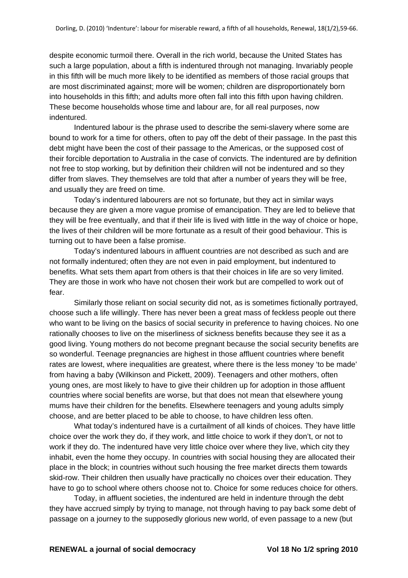despite economic turmoil there. Overall in the rich world, because the United States has such a large population, about a fifth is indentured through not managing. Invariably people in this fifth will be much more likely to be identified as members of those racial groups that are most discriminated against; more will be women; children are disproportionately born into households in this fifth; and adults more often fall into this fifth upon having children. These become households whose time and labour are, for all real purposes, now indentured.

Indentured labour is the phrase used to describe the semi-slavery where some are bound to work for a time for others, often to pay off the debt of their passage. In the past this debt might have been the cost of their passage to the Americas, or the supposed cost of their forcible deportation to Australia in the case of convicts. The indentured are by definition not free to stop working, but by definition their children will not be indentured and so they differ from slaves. They themselves are told that after a number of years they will be free, and usually they are freed on time.

Today's indentured labourers are not so fortunate, but they act in similar ways because they are given a more vague promise of emancipation. They are led to believe that they will be free eventually, and that if their life is lived with little in the way of choice or hope, the lives of their children will be more fortunate as a result of their good behaviour. This is turning out to have been a false promise.

Today's indentured labours in affluent countries are not described as such and are not formally indentured; often they are not even in paid employment, but indentured to benefits. What sets them apart from others is that their choices in life are so very limited. They are those in work who have not chosen their work but are compelled to work out of fear.

Similarly those reliant on social security did not, as is sometimes fictionally portrayed, choose such a life willingly. There has never been a great mass of feckless people out there who want to be living on the basics of social security in preference to having choices. No one rationally chooses to live on the miserliness of sickness benefits because they see it as a good living. Young mothers do not become pregnant because the social security benefits are so wonderful. Teenage pregnancies are highest in those affluent countries where benefit rates are lowest, where inequalities are greatest, where there is the less money 'to be made' from having a baby (Wilkinson and Pickett, 2009). Teenagers and other mothers, often young ones, are most likely to have to give their children up for adoption in those affluent countries where social benefits are worse, but that does not mean that elsewhere young mums have their children for the benefits. Elsewhere teenagers and young adults simply choose, and are better placed to be able to choose, to have children less often.

What today's indentured have is a curtailment of all kinds of choices. They have little choice over the work they do, if they work, and little choice to work if they don't, or not to work if they do. The indentured have very little choice over where they live, which city they inhabit, even the home they occupy. In countries with social housing they are allocated their place in the block; in countries without such housing the free market directs them towards skid-row. Their children then usually have practically no choices over their education. They have to go to school where others choose not to. Choice for some reduces choice for others.

Today, in affluent societies, the indentured are held in indenture through the debt they have accrued simply by trying to manage, not through having to pay back some debt of passage on a journey to the supposedly glorious new world, of even passage to a new (but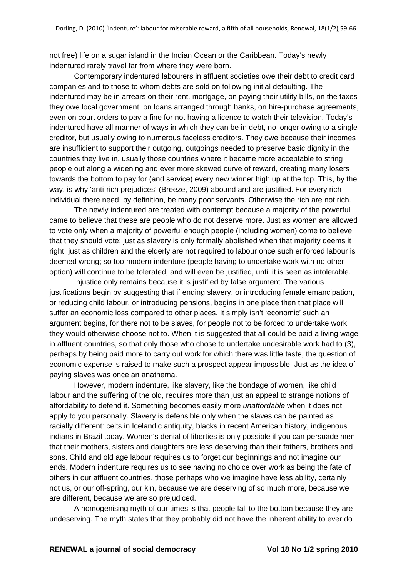not free) life on a sugar island in the Indian Ocean or the Caribbean. Today's newly indentured rarely travel far from where they were born.

Contemporary indentured labourers in affluent societies owe their debt to credit card companies and to those to whom debts are sold on following initial defaulting. The indentured may be in arrears on their rent, mortgage, on paying their utility bills, on the taxes they owe local government, on loans arranged through banks, on hire-purchase agreements, even on court orders to pay a fine for not having a licence to watch their television. Today's indentured have all manner of ways in which they can be in debt, no longer owing to a single creditor, but usually owing to numerous faceless creditors. They owe because their incomes are insufficient to support their outgoing, outgoings needed to preserve basic dignity in the countries they live in, usually those countries where it became more acceptable to string people out along a widening and ever more skewed curve of reward, creating many losers towards the bottom to pay for (and service) every new winner high up at the top. This, by the way, is why 'anti-rich prejudices' (Breeze, 2009) abound and are justified. For every rich individual there need, by definition, be many poor servants. Otherwise the rich are not rich.

The newly indentured are treated with contempt because a majority of the powerful came to believe that these are people who do not deserve more. Just as women are allowed to vote only when a majority of powerful enough people (including women) come to believe that they should vote; just as slavery is only formally abolished when that majority deems it right; just as children and the elderly are not required to labour once such enforced labour is deemed wrong; so too modern indenture (people having to undertake work with no other option) will continue to be tolerated, and will even be justified, until it is seen as intolerable.

Injustice only remains because it is justified by false argument. The various justifications begin by suggesting that if ending slavery, or introducing female emancipation, or reducing child labour, or introducing pensions, begins in one place then that place will suffer an economic loss compared to other places. It simply isn't 'economic' such an argument begins, for there not to be slaves, for people not to be forced to undertake work they would otherwise choose not to. When it is suggested that all could be paid a living wage in affluent countries, so that only those who chose to undertake undesirable work had to (3), perhaps by being paid more to carry out work for which there was little taste, the question of economic expense is raised to make such a prospect appear impossible. Just as the idea of paying slaves was once an anathema.

However, modern indenture, like slavery, like the bondage of women, like child labour and the suffering of the old, requires more than just an appeal to strange notions of affordability to defend it. Something becomes easily more *unaffordable* when it does not apply to you personally. Slavery is defensible only when the slaves can be painted as racially different: celts in Icelandic antiquity, blacks in recent American history, indigenous indians in Brazil today. Women's denial of liberties is only possible if you can persuade men that their mothers, sisters and daughters are less deserving than their fathers, brothers and sons. Child and old age labour requires us to forget our beginnings and not imagine our ends. Modern indenture requires us to see having no choice over work as being the fate of others in our affluent countries, those perhaps who we imagine have less ability, certainly not us, or our off-spring, our kin, because we are deserving of so much more, because we are different, because we are so prejudiced.

A homogenising myth of our times is that people fall to the bottom because they are undeserving. The myth states that they probably did not have the inherent ability to ever do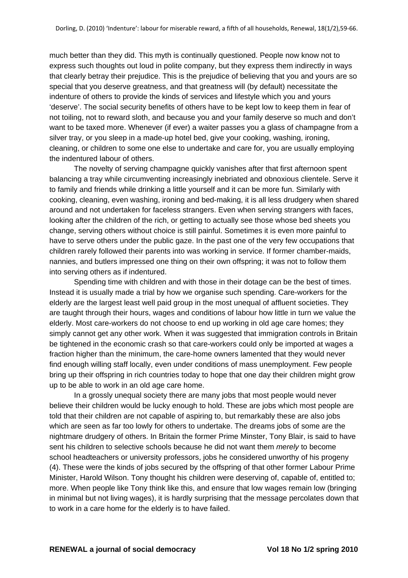much better than they did. This myth is continually questioned. People now know not to express such thoughts out loud in polite company, but they express them indirectly in ways that clearly betray their prejudice. This is the prejudice of believing that you and yours are so special that you deserve greatness, and that greatness will (by default) necessitate the indenture of others to provide the kinds of services and lifestyle which you and yours 'deserve'. The social security benefits of others have to be kept low to keep them in fear of not toiling, not to reward sloth, and because you and your family deserve so much and don't want to be taxed more. Whenever (if ever) a waiter passes you a glass of champagne from a silver tray, or you sleep in a made-up hotel bed, give your cooking, washing, ironing, cleaning, or children to some one else to undertake and care for, you are usually employing the indentured labour of others.

The novelty of serving champagne quickly vanishes after that first afternoon spent balancing a tray while circumventing increasingly inebriated and obnoxious clientele. Serve it to family and friends while drinking a little yourself and it can be more fun. Similarly with cooking, cleaning, even washing, ironing and bed-making, it is all less drudgery when shared around and not undertaken for faceless strangers. Even when serving strangers with faces, looking after the children of the rich, or getting to actually see those whose bed sheets you change, serving others without choice is still painful. Sometimes it is even more painful to have to serve others under the public gaze. In the past one of the very few occupations that children rarely followed their parents into was working in service. If former chamber-maids, nannies, and butlers impressed one thing on their own offspring; it was not to follow them into serving others as if indentured.

Spending time with children and with those in their dotage can be the best of times. Instead it is usually made a trial by how we organise such spending. Care-workers for the elderly are the largest least well paid group in the most unequal of affluent societies. They are taught through their hours, wages and conditions of labour how little in turn we value the elderly. Most care-workers do not choose to end up working in old age care homes; they simply cannot get any other work. When it was suggested that immigration controls in Britain be tightened in the economic crash so that care-workers could only be imported at wages a fraction higher than the minimum, the care-home owners lamented that they would never find enough willing staff locally, even under conditions of mass unemployment. Few people bring up their offspring in rich countries today to hope that one day their children might grow up to be able to work in an old age care home.

In a grossly unequal society there are many jobs that most people would never believe their children would be lucky enough to hold. These are jobs which most people are told that their children are not capable of aspiring to, but remarkably these are also jobs which are seen as far too lowly for others to undertake. The dreams jobs of some are the nightmare drudgery of others. In Britain the former Prime Minster, Tony Blair, is said to have sent his children to selective schools because he did not want them *merely* to become school headteachers or university professors, jobs he considered unworthy of his progeny (4). These were the kinds of jobs secured by the offspring of that other former Labour Prime Minister, Harold Wilson. Tony thought his children were deserving of, capable of, entitled to; more. When people like Tony think like this, and ensure that low wages remain low (bringing in minimal but not living wages), it is hardly surprising that the message percolates down that to work in a care home for the elderly is to have failed.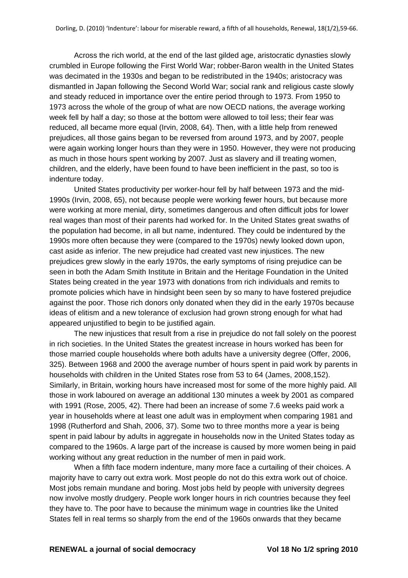Across the rich world, at the end of the last gilded age, aristocratic dynasties slowly crumbled in Europe following the First World War; robber-Baron wealth in the United States was decimated in the 1930s and began to be redistributed in the 1940s; aristocracy was dismantled in Japan following the Second World War; social rank and religious caste slowly and steady reduced in importance over the entire period through to 1973. From 1950 to 1973 across the whole of the group of what are now OECD nations, the average working week fell by half a day; so those at the bottom were allowed to toil less; their fear was reduced, all became more equal (Irvin, 2008, 64). Then, with a little help from renewed prejudices, all those gains began to be reversed from around 1973, and by 2007, people were again working longer hours than they were in 1950. However, they were not producing as much in those hours spent working by 2007. Just as slavery and ill treating women, children, and the elderly, have been found to have been inefficient in the past, so too is indenture today.

United States productivity per worker-hour fell by half between 1973 and the mid-1990s (Irvin, 2008, 65), not because people were working fewer hours, but because more were working at more menial, dirty, sometimes dangerous and often difficult jobs for lower real wages than most of their parents had worked for. In the United States great swaths of the population had become, in all but name, indentured. They could be indentured by the 1990s more often because they were (compared to the 1970s) newly looked down upon, cast aside as inferior. The new prejudice had created vast new injustices. The new prejudices grew slowly in the early 1970s, the early symptoms of rising prejudice can be seen in both the Adam Smith Institute in Britain and the Heritage Foundation in the United States being created in the year 1973 with donations from rich individuals and remits to promote policies which have in hindsight been seen by so many to have fostered prejudice against the poor. Those rich donors only donated when they did in the early 1970s because ideas of elitism and a new tolerance of exclusion had grown strong enough for what had appeared unjustified to begin to be justified again.

The new injustices that result from a rise in prejudice do not fall solely on the poorest in rich societies. In the United States the greatest increase in hours worked has been for those married couple households where both adults have a university degree (Offer, 2006, 325). Between 1968 and 2000 the average number of hours spent in paid work by parents in households with children in the United States rose from 53 to 64 (James, 2008,152). Similarly, in Britain, working hours have increased most for some of the more highly paid. All those in work laboured on average an additional 130 minutes a week by 2001 as compared with 1991 (Rose, 2005, 42). There had been an increase of some 7.6 weeks paid work a year in households where at least one adult was in employment when comparing 1981 and 1998 (Rutherford and Shah, 2006, 37). Some two to three months more a year is being spent in paid labour by adults in aggregate in households now in the United States today as compared to the 1960s. A large part of the increase is caused by more women being in paid working without any great reduction in the number of men in paid work.

When a fifth face modern indenture, many more face a curtailing of their choices. A majority have to carry out extra work. Most people do not do this extra work out of choice. Most jobs remain mundane and boring. Most jobs held by people with university degrees now involve mostly drudgery. People work longer hours in rich countries because they feel they have to. The poor have to because the minimum wage in countries like the United States fell in real terms so sharply from the end of the 1960s onwards that they became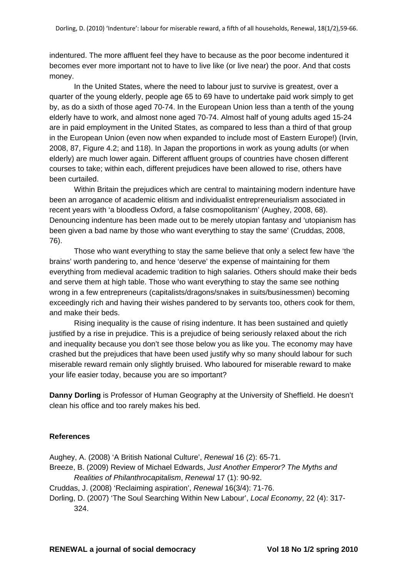indentured. The more affluent feel they have to because as the poor become indentured it becomes ever more important not to have to live like (or live near) the poor. And that costs money.

In the United States, where the need to labour just to survive is greatest, over a quarter of the young elderly, people age 65 to 69 have to undertake paid work simply to get by, as do a sixth of those aged 70-74. In the European Union less than a tenth of the young elderly have to work, and almost none aged 70-74. Almost half of young adults aged 15-24 are in paid employment in the United States, as compared to less than a third of that group in the European Union (even now when expanded to include most of Eastern Europe!) (Irvin, 2008, 87, Figure 4.2; and 118). In Japan the proportions in work as young adults (or when elderly) are much lower again. Different affluent groups of countries have chosen different courses to take; within each, different prejudices have been allowed to rise, others have been curtailed.

Within Britain the prejudices which are central to maintaining modern indenture have been an arrogance of academic elitism and individualist entrepreneurialism associated in recent years with 'a bloodless Oxford, a false cosmopolitanism' (Aughey, 2008, 68). Denouncing indenture has been made out to be merely utopian fantasy and 'utopianism has been given a bad name by those who want everything to stay the same' (Cruddas, 2008, 76).

Those who want everything to stay the same believe that only a select few have 'the brains' worth pandering to, and hence 'deserve' the expense of maintaining for them everything from medieval academic tradition to high salaries. Others should make their beds and serve them at high table. Those who want everything to stay the same see nothing wrong in a few entrepreneurs (capitalists/dragons/snakes in suits/businessmen) becoming exceedingly rich and having their wishes pandered to by servants too, others cook for them, and make their beds.

Rising inequality is the cause of rising indenture. It has been sustained and quietly justified by a rise in prejudice. This is a prejudice of being seriously relaxed about the rich and inequality because you don't see those below you as like you. The economy may have crashed but the prejudices that have been used justify why so many should labour for such miserable reward remain only slightly bruised. Who laboured for miserable reward to make your life easier today, because you are so important?

**Danny Dorling** is Professor of Human Geography at the University of Sheffield. He doesn't clean his office and too rarely makes his bed.

### **References**

Aughey, A. (2008) 'A British National Culture', *Renewal* 16 (2): 65-71.

Breeze, B. (2009) Review of Michael Edwards, *Just Another Emperor? The Myths and Realities of Philanthrocapitalism*, *Renewal* 17 (1): 90-92.

Cruddas, J. (2008) 'Reclaiming aspiration', *Renewal* 16(3/4): 71-76.

Dorling, D. (2007) 'The Soul Searching Within New Labour', *Local Economy*, 22 (4): 317- 324.